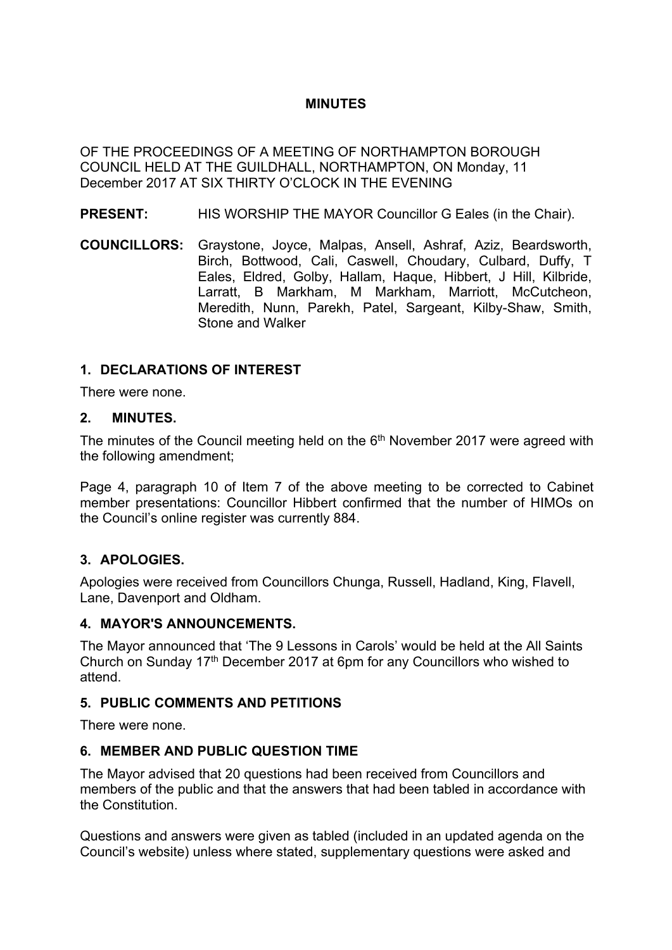### **MINUTES**

OF THE PROCEEDINGS OF A MEETING OF NORTHAMPTON BOROUGH COUNCIL HELD AT THE GUILDHALL, NORTHAMPTON, ON Monday, 11 December 2017 AT SIX THIRTY O'CLOCK IN THE EVENING

- **PRESENT:** HIS WORSHIP THE MAYOR Councillor G Eales (in the Chair).
- **COUNCILLORS:** Graystone, Joyce, Malpas, Ansell, Ashraf, Aziz, Beardsworth, Birch, Bottwood, Cali, Caswell, Choudary, Culbard, Duffy, T Eales, Eldred, Golby, Hallam, Haque, Hibbert, J Hill, Kilbride, Larratt, B Markham, M Markham, Marriott, McCutcheon, Meredith, Nunn, Parekh, Patel, Sargeant, Kilby-Shaw, Smith, Stone and Walker

### **1. DECLARATIONS OF INTEREST**

There were none.

#### **2. MINUTES.**

The minutes of the Council meeting held on the  $6<sup>th</sup>$  November 2017 were agreed with the following amendment;

Page 4, paragraph 10 of Item 7 of the above meeting to be corrected to Cabinet member presentations: Councillor Hibbert confirmed that the number of HIMOs on the Council's online register was currently 884.

### **3. APOLOGIES.**

Apologies were received from Councillors Chunga, Russell, Hadland, King, Flavell, Lane, Davenport and Oldham.

### **4. MAYOR'S ANNOUNCEMENTS.**

The Mayor announced that 'The 9 Lessons in Carols' would be held at the All Saints Church on Sunday 17th December 2017 at 6pm for any Councillors who wished to attend.

### **5. PUBLIC COMMENTS AND PETITIONS**

There were none.

### **6. MEMBER AND PUBLIC QUESTION TIME**

The Mayor advised that 20 questions had been received from Councillors and members of the public and that the answers that had been tabled in accordance with the Constitution.

Questions and answers were given as tabled (included in an updated agenda on the Council's website) unless where stated, supplementary questions were asked and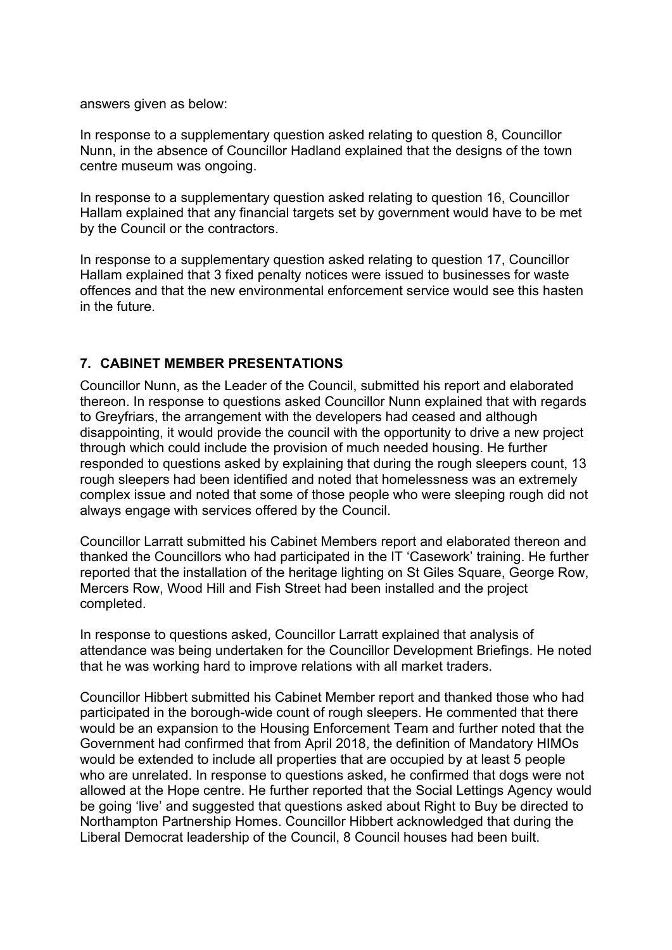answers given as below:

In response to a supplementary question asked relating to question 8, Councillor Nunn, in the absence of Councillor Hadland explained that the designs of the town centre museum was ongoing.

In response to a supplementary question asked relating to question 16, Councillor Hallam explained that any financial targets set by government would have to be met by the Council or the contractors.

In response to a supplementary question asked relating to question 17, Councillor Hallam explained that 3 fixed penalty notices were issued to businesses for waste offences and that the new environmental enforcement service would see this hasten in the future.

# **7. CABINET MEMBER PRESENTATIONS**

Councillor Nunn, as the Leader of the Council, submitted his report and elaborated thereon. In response to questions asked Councillor Nunn explained that with regards to Greyfriars, the arrangement with the developers had ceased and although disappointing, it would provide the council with the opportunity to drive a new project through which could include the provision of much needed housing. He further responded to questions asked by explaining that during the rough sleepers count, 13 rough sleepers had been identified and noted that homelessness was an extremely complex issue and noted that some of those people who were sleeping rough did not always engage with services offered by the Council.

Councillor Larratt submitted his Cabinet Members report and elaborated thereon and thanked the Councillors who had participated in the IT 'Casework' training. He further reported that the installation of the heritage lighting on St Giles Square, George Row, Mercers Row, Wood Hill and Fish Street had been installed and the project completed.

In response to questions asked, Councillor Larratt explained that analysis of attendance was being undertaken for the Councillor Development Briefings. He noted that he was working hard to improve relations with all market traders.

Councillor Hibbert submitted his Cabinet Member report and thanked those who had participated in the borough-wide count of rough sleepers. He commented that there would be an expansion to the Housing Enforcement Team and further noted that the Government had confirmed that from April 2018, the definition of Mandatory HIMOs would be extended to include all properties that are occupied by at least 5 people who are unrelated. In response to questions asked, he confirmed that dogs were not allowed at the Hope centre. He further reported that the Social Lettings Agency would be going 'live' and suggested that questions asked about Right to Buy be directed to Northampton Partnership Homes. Councillor Hibbert acknowledged that during the Liberal Democrat leadership of the Council, 8 Council houses had been built.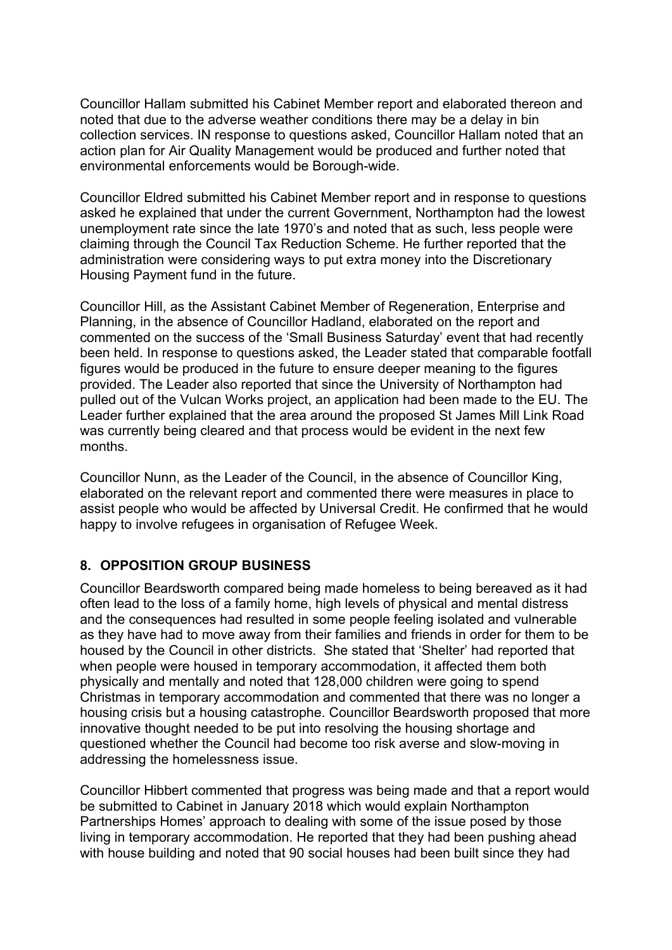Councillor Hallam submitted his Cabinet Member report and elaborated thereon and noted that due to the adverse weather conditions there may be a delay in bin collection services. IN response to questions asked, Councillor Hallam noted that an action plan for Air Quality Management would be produced and further noted that environmental enforcements would be Borough-wide.

Councillor Eldred submitted his Cabinet Member report and in response to questions asked he explained that under the current Government, Northampton had the lowest unemployment rate since the late 1970's and noted that as such, less people were claiming through the Council Tax Reduction Scheme. He further reported that the administration were considering ways to put extra money into the Discretionary Housing Payment fund in the future.

Councillor Hill, as the Assistant Cabinet Member of Regeneration, Enterprise and Planning, in the absence of Councillor Hadland, elaborated on the report and commented on the success of the 'Small Business Saturday' event that had recently been held. In response to questions asked, the Leader stated that comparable footfall figures would be produced in the future to ensure deeper meaning to the figures provided. The Leader also reported that since the University of Northampton had pulled out of the Vulcan Works project, an application had been made to the EU. The Leader further explained that the area around the proposed St James Mill Link Road was currently being cleared and that process would be evident in the next few months.

Councillor Nunn, as the Leader of the Council, in the absence of Councillor King, elaborated on the relevant report and commented there were measures in place to assist people who would be affected by Universal Credit. He confirmed that he would happy to involve refugees in organisation of Refugee Week.

# **8. OPPOSITION GROUP BUSINESS**

Councillor Beardsworth compared being made homeless to being bereaved as it had often lead to the loss of a family home, high levels of physical and mental distress and the consequences had resulted in some people feeling isolated and vulnerable as they have had to move away from their families and friends in order for them to be housed by the Council in other districts. She stated that 'Shelter' had reported that when people were housed in temporary accommodation, it affected them both physically and mentally and noted that 128,000 children were going to spend Christmas in temporary accommodation and commented that there was no longer a housing crisis but a housing catastrophe. Councillor Beardsworth proposed that more innovative thought needed to be put into resolving the housing shortage and questioned whether the Council had become too risk averse and slow-moving in addressing the homelessness issue.

Councillor Hibbert commented that progress was being made and that a report would be submitted to Cabinet in January 2018 which would explain Northampton Partnerships Homes' approach to dealing with some of the issue posed by those living in temporary accommodation. He reported that they had been pushing ahead with house building and noted that 90 social houses had been built since they had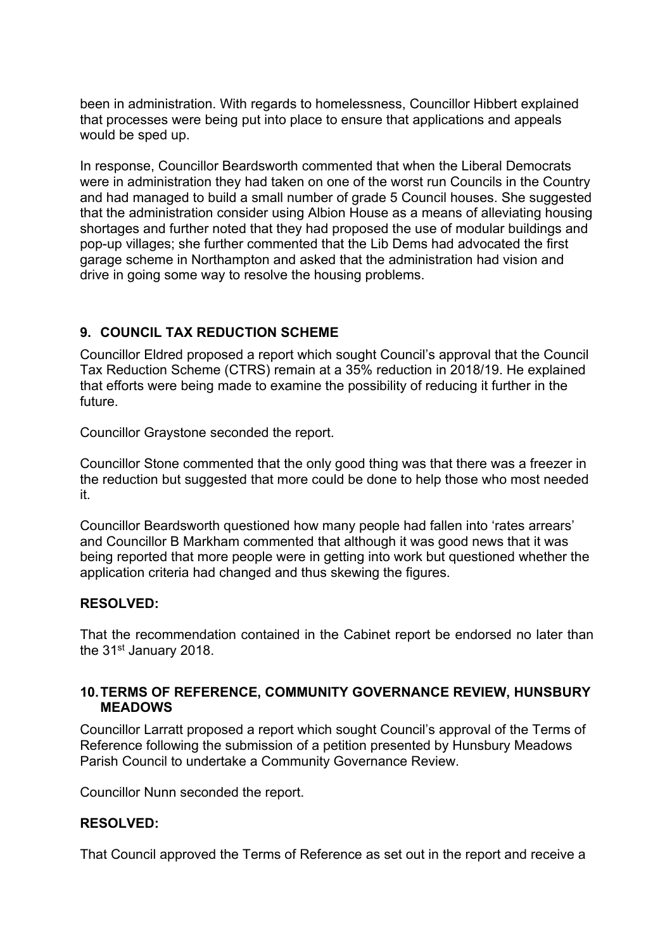been in administration. With regards to homelessness, Councillor Hibbert explained that processes were being put into place to ensure that applications and appeals would be sped up.

In response, Councillor Beardsworth commented that when the Liberal Democrats were in administration they had taken on one of the worst run Councils in the Country and had managed to build a small number of grade 5 Council houses. She suggested that the administration consider using Albion House as a means of alleviating housing shortages and further noted that they had proposed the use of modular buildings and pop-up villages; she further commented that the Lib Dems had advocated the first garage scheme in Northampton and asked that the administration had vision and drive in going some way to resolve the housing problems.

# **9. COUNCIL TAX REDUCTION SCHEME**

Councillor Eldred proposed a report which sought Council's approval that the Council Tax Reduction Scheme (CTRS) remain at a 35% reduction in 2018/19. He explained that efforts were being made to examine the possibility of reducing it further in the future.

Councillor Graystone seconded the report.

Councillor Stone commented that the only good thing was that there was a freezer in the reduction but suggested that more could be done to help those who most needed it.

Councillor Beardsworth questioned how many people had fallen into 'rates arrears' and Councillor B Markham commented that although it was good news that it was being reported that more people were in getting into work but questioned whether the application criteria had changed and thus skewing the figures.

### **RESOLVED:**

That the recommendation contained in the Cabinet report be endorsed no later than the 31st January 2018.

### **10.TERMS OF REFERENCE, COMMUNITY GOVERNANCE REVIEW, HUNSBURY MEADOWS**

Councillor Larratt proposed a report which sought Council's approval of the Terms of Reference following the submission of a petition presented by Hunsbury Meadows Parish Council to undertake a Community Governance Review.

Councillor Nunn seconded the report.

### **RESOLVED:**

That Council approved the Terms of Reference as set out in the report and receive a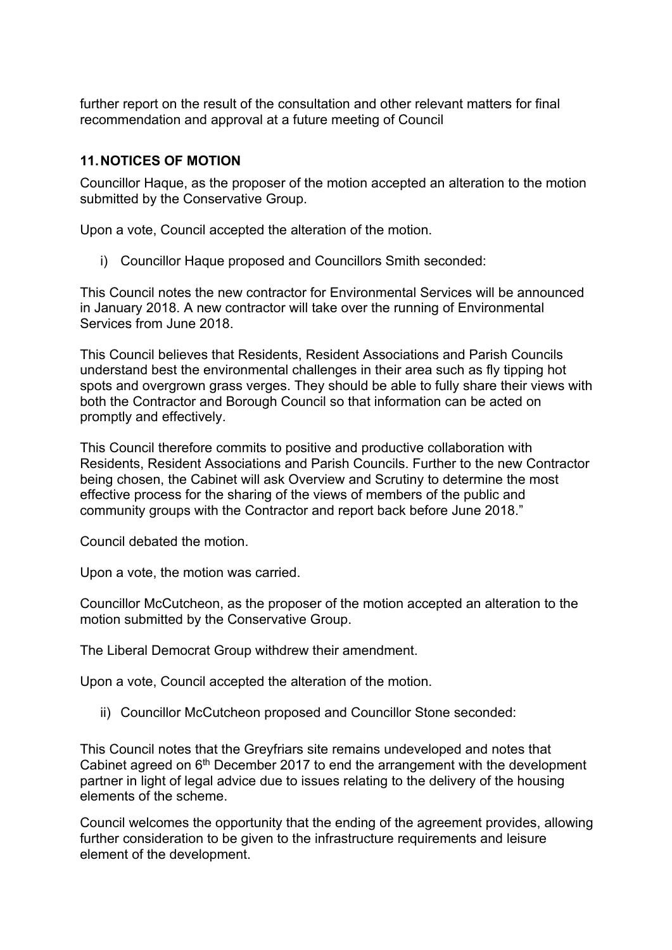further report on the result of the consultation and other relevant matters for final recommendation and approval at a future meeting of Council

# **11.NOTICES OF MOTION**

Councillor Haque, as the proposer of the motion accepted an alteration to the motion submitted by the Conservative Group.

Upon a vote, Council accepted the alteration of the motion.

i) Councillor Haque proposed and Councillors Smith seconded:

This Council notes the new contractor for Environmental Services will be announced in January 2018. A new contractor will take over the running of Environmental Services from June 2018.

This Council believes that Residents, Resident Associations and Parish Councils understand best the environmental challenges in their area such as fly tipping hot spots and overgrown grass verges. They should be able to fully share their views with both the Contractor and Borough Council so that information can be acted on promptly and effectively.

This Council therefore commits to positive and productive collaboration with Residents, Resident Associations and Parish Councils. Further to the new Contractor being chosen, the Cabinet will ask Overview and Scrutiny to determine the most effective process for the sharing of the views of members of the public and community groups with the Contractor and report back before June 2018."

Council debated the motion.

Upon a vote, the motion was carried.

Councillor McCutcheon, as the proposer of the motion accepted an alteration to the motion submitted by the Conservative Group.

The Liberal Democrat Group withdrew their amendment.

Upon a vote, Council accepted the alteration of the motion.

ii) Councillor McCutcheon proposed and Councillor Stone seconded:

This Council notes that the Greyfriars site remains undeveloped and notes that Cabinet agreed on 6<sup>th</sup> December 2017 to end the arrangement with the development partner in light of legal advice due to issues relating to the delivery of the housing elements of the scheme.

Council welcomes the opportunity that the ending of the agreement provides, allowing further consideration to be given to the infrastructure requirements and leisure element of the development.